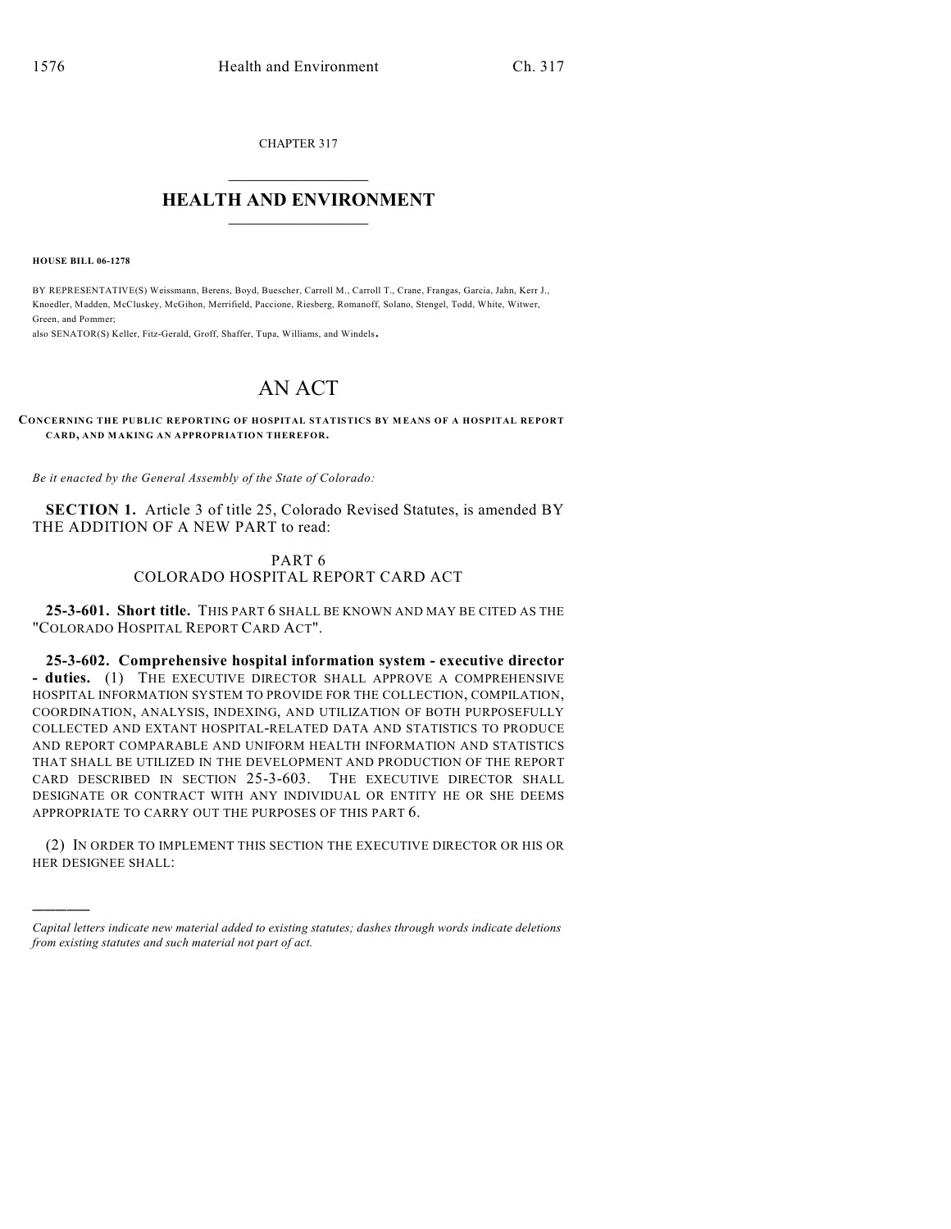CHAPTER 317

## $\mathcal{L}_\text{max}$  . The set of the set of the set of the set of the set of the set of the set of the set of the set of the set of the set of the set of the set of the set of the set of the set of the set of the set of the set **HEALTH AND ENVIRONMENT**  $\_$

**HOUSE BILL 06-1278**

)))))

BY REPRESENTATIVE(S) Weissmann, Berens, Boyd, Buescher, Carroll M., Carroll T., Crane, Frangas, Garcia, Jahn, Kerr J., Knoedler, Madden, McCluskey, McGihon, Merrifield, Paccione, Riesberg, Romanoff, Solano, Stengel, Todd, White, Witwer, Green, and Pommer;

also SENATOR(S) Keller, Fitz-Gerald, Groff, Shaffer, Tupa, Williams, and Windels.

## AN ACT

## **CONCERNING THE PUBLIC REPORTING OF HOSPITAL STATISTICS BY MEANS OF A HOSPITAL REPORT CARD, AND MAKING AN APPROPRIATION THEREFOR.**

*Be it enacted by the General Assembly of the State of Colorado:*

**SECTION 1.** Article 3 of title 25, Colorado Revised Statutes, is amended BY THE ADDITION OF A NEW PART to read:

## PART 6 COLORADO HOSPITAL REPORT CARD ACT

**25-3-601. Short title.** THIS PART 6 SHALL BE KNOWN AND MAY BE CITED AS THE "COLORADO HOSPITAL REPORT CARD ACT".

**25-3-602. Comprehensive hospital information system - executive director - duties.** (1) THE EXECUTIVE DIRECTOR SHALL APPROVE A COMPREHENSIVE HOSPITAL INFORMATION SYSTEM TO PROVIDE FOR THE COLLECTION, COMPILATION, COORDINATION, ANALYSIS, INDEXING, AND UTILIZATION OF BOTH PURPOSEFULLY COLLECTED AND EXTANT HOSPITAL-RELATED DATA AND STATISTICS TO PRODUCE AND REPORT COMPARABLE AND UNIFORM HEALTH INFORMATION AND STATISTICS THAT SHALL BE UTILIZED IN THE DEVELOPMENT AND PRODUCTION OF THE REPORT CARD DESCRIBED IN SECTION 25-3-603. THE EXECUTIVE DIRECTOR SHALL DESIGNATE OR CONTRACT WITH ANY INDIVIDUAL OR ENTITY HE OR SHE DEEMS APPROPRIATE TO CARRY OUT THE PURPOSES OF THIS PART 6.

(2) IN ORDER TO IMPLEMENT THIS SECTION THE EXECUTIVE DIRECTOR OR HIS OR HER DESIGNEE SHALL:

*Capital letters indicate new material added to existing statutes; dashes through words indicate deletions from existing statutes and such material not part of act.*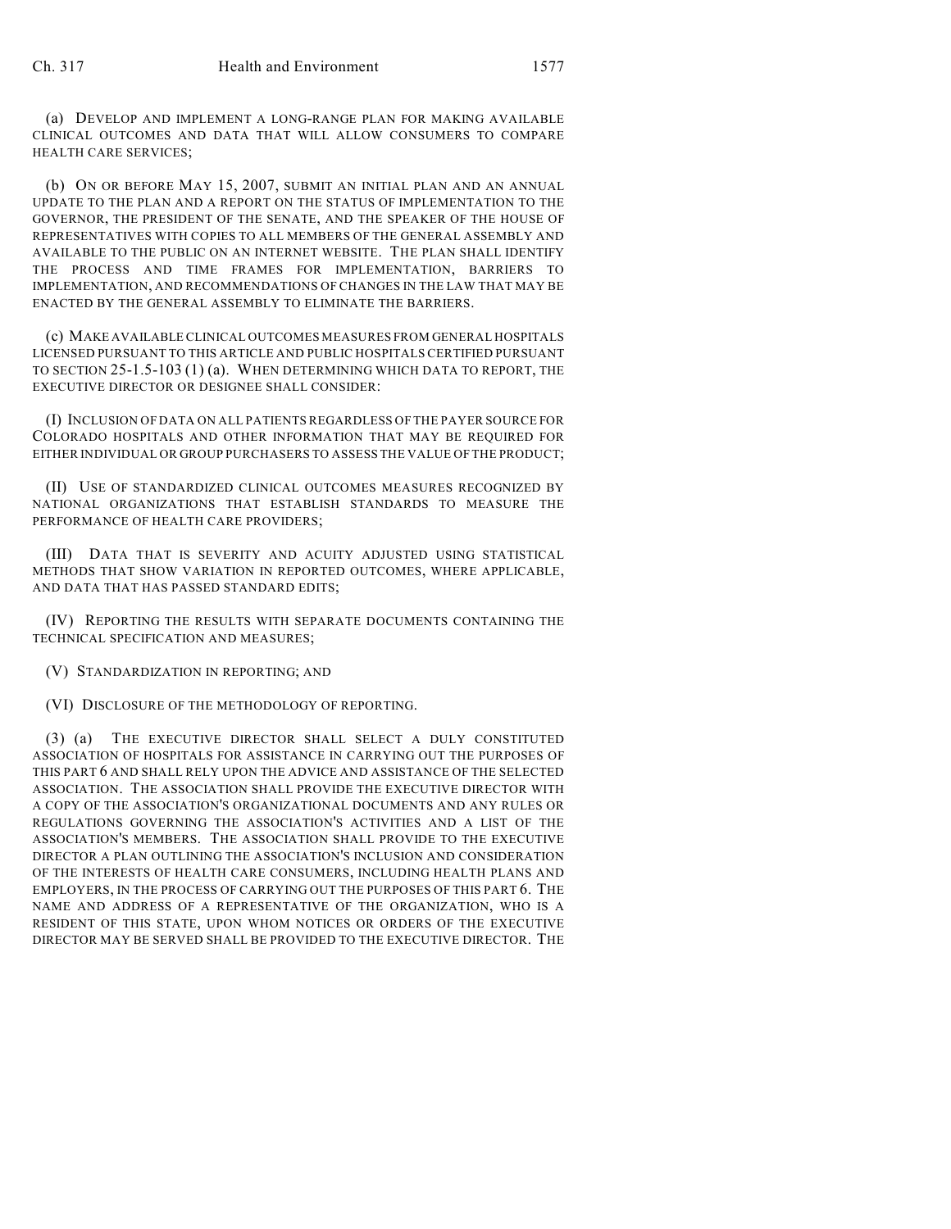(a) DEVELOP AND IMPLEMENT A LONG-RANGE PLAN FOR MAKING AVAILABLE CLINICAL OUTCOMES AND DATA THAT WILL ALLOW CONSUMERS TO COMPARE HEALTH CARE SERVICES;

(b) ON OR BEFORE MAY 15, 2007, SUBMIT AN INITIAL PLAN AND AN ANNUAL UPDATE TO THE PLAN AND A REPORT ON THE STATUS OF IMPLEMENTATION TO THE GOVERNOR, THE PRESIDENT OF THE SENATE, AND THE SPEAKER OF THE HOUSE OF REPRESENTATIVES WITH COPIES TO ALL MEMBERS OF THE GENERAL ASSEMBLY AND AVAILABLE TO THE PUBLIC ON AN INTERNET WEBSITE. THE PLAN SHALL IDENTIFY THE PROCESS AND TIME FRAMES FOR IMPLEMENTATION, BARRIERS TO IMPLEMENTATION, AND RECOMMENDATIONS OF CHANGES IN THE LAW THAT MAY BE ENACTED BY THE GENERAL ASSEMBLY TO ELIMINATE THE BARRIERS.

(c) MAKE AVAILABLE CLINICAL OUTCOMES MEASURES FROM GENERAL HOSPITALS LICENSED PURSUANT TO THIS ARTICLE AND PUBLIC HOSPITALS CERTIFIED PURSUANT TO SECTION 25-1.5-103 (1) (a). WHEN DETERMINING WHICH DATA TO REPORT, THE EXECUTIVE DIRECTOR OR DESIGNEE SHALL CONSIDER:

(I) INCLUSION OF DATA ON ALL PATIENTS REGARDLESS OF THE PAYER SOURCE FOR COLORADO HOSPITALS AND OTHER INFORMATION THAT MAY BE REQUIRED FOR EITHER INDIVIDUAL OR GROUP PURCHASERS TO ASSESS THE VALUE OF THE PRODUCT;

(II) USE OF STANDARDIZED CLINICAL OUTCOMES MEASURES RECOGNIZED BY NATIONAL ORGANIZATIONS THAT ESTABLISH STANDARDS TO MEASURE THE PERFORMANCE OF HEALTH CARE PROVIDERS;

(III) DATA THAT IS SEVERITY AND ACUITY ADJUSTED USING STATISTICAL METHODS THAT SHOW VARIATION IN REPORTED OUTCOMES, WHERE APPLICABLE, AND DATA THAT HAS PASSED STANDARD EDITS;

(IV) REPORTING THE RESULTS WITH SEPARATE DOCUMENTS CONTAINING THE TECHNICAL SPECIFICATION AND MEASURES;

(V) STANDARDIZATION IN REPORTING; AND

(VI) DISCLOSURE OF THE METHODOLOGY OF REPORTING.

(3) (a) THE EXECUTIVE DIRECTOR SHALL SELECT A DULY CONSTITUTED ASSOCIATION OF HOSPITALS FOR ASSISTANCE IN CARRYING OUT THE PURPOSES OF THIS PART 6 AND SHALL RELY UPON THE ADVICE AND ASSISTANCE OF THE SELECTED ASSOCIATION. THE ASSOCIATION SHALL PROVIDE THE EXECUTIVE DIRECTOR WITH A COPY OF THE ASSOCIATION'S ORGANIZATIONAL DOCUMENTS AND ANY RULES OR REGULATIONS GOVERNING THE ASSOCIATION'S ACTIVITIES AND A LIST OF THE ASSOCIATION'S MEMBERS. THE ASSOCIATION SHALL PROVIDE TO THE EXECUTIVE DIRECTOR A PLAN OUTLINING THE ASSOCIATION'S INCLUSION AND CONSIDERATION OF THE INTERESTS OF HEALTH CARE CONSUMERS, INCLUDING HEALTH PLANS AND EMPLOYERS, IN THE PROCESS OF CARRYING OUT THE PURPOSES OF THIS PART 6. THE NAME AND ADDRESS OF A REPRESENTATIVE OF THE ORGANIZATION, WHO IS A RESIDENT OF THIS STATE, UPON WHOM NOTICES OR ORDERS OF THE EXECUTIVE DIRECTOR MAY BE SERVED SHALL BE PROVIDED TO THE EXECUTIVE DIRECTOR. THE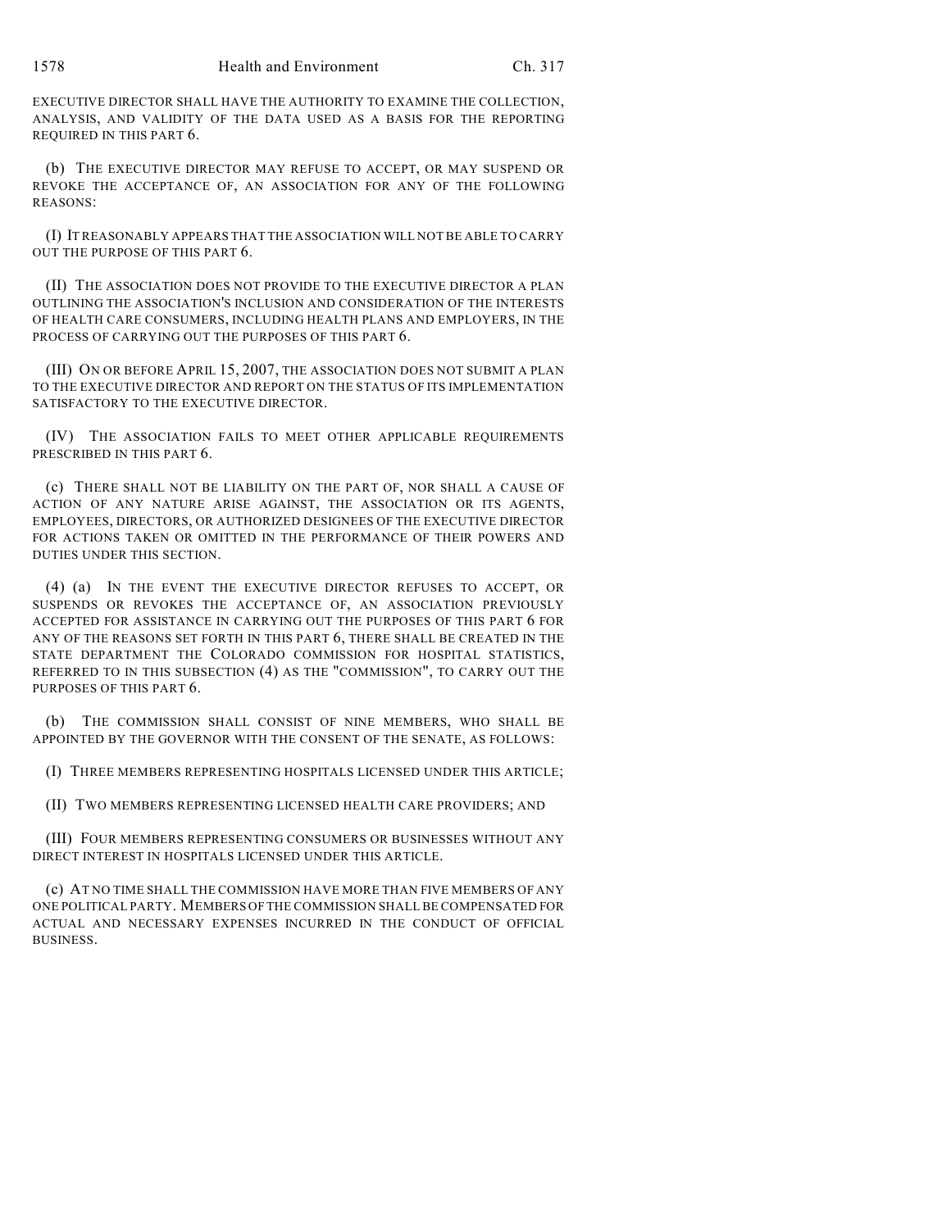EXECUTIVE DIRECTOR SHALL HAVE THE AUTHORITY TO EXAMINE THE COLLECTION, ANALYSIS, AND VALIDITY OF THE DATA USED AS A BASIS FOR THE REPORTING REQUIRED IN THIS PART 6.

(b) THE EXECUTIVE DIRECTOR MAY REFUSE TO ACCEPT, OR MAY SUSPEND OR REVOKE THE ACCEPTANCE OF, AN ASSOCIATION FOR ANY OF THE FOLLOWING REASONS:

(I) IT REASONABLY APPEARS THAT THE ASSOCIATION WILL NOT BE ABLE TO CARRY OUT THE PURPOSE OF THIS PART 6.

(II) THE ASSOCIATION DOES NOT PROVIDE TO THE EXECUTIVE DIRECTOR A PLAN OUTLINING THE ASSOCIATION'S INCLUSION AND CONSIDERATION OF THE INTERESTS OF HEALTH CARE CONSUMERS, INCLUDING HEALTH PLANS AND EMPLOYERS, IN THE PROCESS OF CARRYING OUT THE PURPOSES OF THIS PART 6.

(III) ON OR BEFORE APRIL 15, 2007, THE ASSOCIATION DOES NOT SUBMIT A PLAN TO THE EXECUTIVE DIRECTOR AND REPORT ON THE STATUS OF ITS IMPLEMENTATION SATISFACTORY TO THE EXECUTIVE DIRECTOR.

(IV) THE ASSOCIATION FAILS TO MEET OTHER APPLICABLE REQUIREMENTS PRESCRIBED IN THIS PART 6.

(c) THERE SHALL NOT BE LIABILITY ON THE PART OF, NOR SHALL A CAUSE OF ACTION OF ANY NATURE ARISE AGAINST, THE ASSOCIATION OR ITS AGENTS, EMPLOYEES, DIRECTORS, OR AUTHORIZED DESIGNEES OF THE EXECUTIVE DIRECTOR FOR ACTIONS TAKEN OR OMITTED IN THE PERFORMANCE OF THEIR POWERS AND DUTIES UNDER THIS SECTION.

(4) (a) IN THE EVENT THE EXECUTIVE DIRECTOR REFUSES TO ACCEPT, OR SUSPENDS OR REVOKES THE ACCEPTANCE OF, AN ASSOCIATION PREVIOUSLY ACCEPTED FOR ASSISTANCE IN CARRYING OUT THE PURPOSES OF THIS PART 6 FOR ANY OF THE REASONS SET FORTH IN THIS PART 6, THERE SHALL BE CREATED IN THE STATE DEPARTMENT THE COLORADO COMMISSION FOR HOSPITAL STATISTICS, REFERRED TO IN THIS SUBSECTION (4) AS THE "COMMISSION", TO CARRY OUT THE PURPOSES OF THIS PART 6.

(b) THE COMMISSION SHALL CONSIST OF NINE MEMBERS, WHO SHALL BE APPOINTED BY THE GOVERNOR WITH THE CONSENT OF THE SENATE, AS FOLLOWS:

(I) THREE MEMBERS REPRESENTING HOSPITALS LICENSED UNDER THIS ARTICLE;

(II) TWO MEMBERS REPRESENTING LICENSED HEALTH CARE PROVIDERS; AND

(III) FOUR MEMBERS REPRESENTING CONSUMERS OR BUSINESSES WITHOUT ANY DIRECT INTEREST IN HOSPITALS LICENSED UNDER THIS ARTICLE.

(c) AT NO TIME SHALL THE COMMISSION HAVE MORE THAN FIVE MEMBERS OF ANY ONE POLITICAL PARTY. MEMBERS OF THE COMMISSION SHALL BE COMPENSATED FOR ACTUAL AND NECESSARY EXPENSES INCURRED IN THE CONDUCT OF OFFICIAL BUSINESS.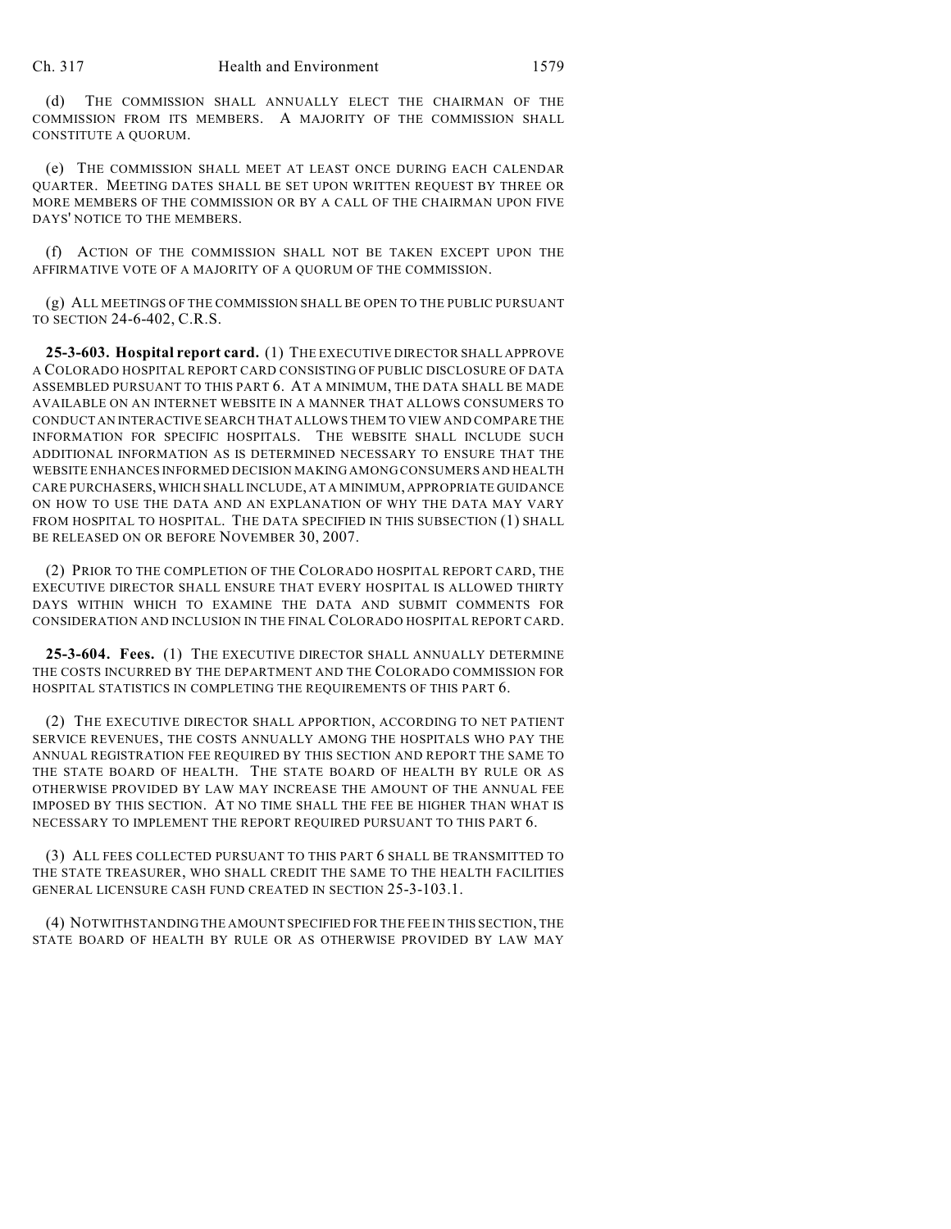(d) THE COMMISSION SHALL ANNUALLY ELECT THE CHAIRMAN OF THE COMMISSION FROM ITS MEMBERS. A MAJORITY OF THE COMMISSION SHALL CONSTITUTE A QUORUM.

(e) THE COMMISSION SHALL MEET AT LEAST ONCE DURING EACH CALENDAR QUARTER. MEETING DATES SHALL BE SET UPON WRITTEN REQUEST BY THREE OR MORE MEMBERS OF THE COMMISSION OR BY A CALL OF THE CHAIRMAN UPON FIVE DAYS' NOTICE TO THE MEMBERS.

(f) ACTION OF THE COMMISSION SHALL NOT BE TAKEN EXCEPT UPON THE AFFIRMATIVE VOTE OF A MAJORITY OF A QUORUM OF THE COMMISSION.

(g) ALL MEETINGS OF THE COMMISSION SHALL BE OPEN TO THE PUBLIC PURSUANT TO SECTION 24-6-402, C.R.S.

**25-3-603. Hospital report card.** (1) THE EXECUTIVE DIRECTOR SHALL APPROVE A COLORADO HOSPITAL REPORT CARD CONSISTING OF PUBLIC DISCLOSURE OF DATA ASSEMBLED PURSUANT TO THIS PART 6. AT A MINIMUM, THE DATA SHALL BE MADE AVAILABLE ON AN INTERNET WEBSITE IN A MANNER THAT ALLOWS CONSUMERS TO CONDUCT AN INTERACTIVE SEARCH THAT ALLOWS THEM TO VIEW AND COMPARE THE INFORMATION FOR SPECIFIC HOSPITALS. THE WEBSITE SHALL INCLUDE SUCH ADDITIONAL INFORMATION AS IS DETERMINED NECESSARY TO ENSURE THAT THE WEBSITE ENHANCES INFORMED DECISION MAKING AMONG CONSUMERS AND HEALTH CARE PURCHASERS, WHICH SHALL INCLUDE, AT A MINIMUM, APPROPRIATE GUIDANCE ON HOW TO USE THE DATA AND AN EXPLANATION OF WHY THE DATA MAY VARY FROM HOSPITAL TO HOSPITAL. THE DATA SPECIFIED IN THIS SUBSECTION (1) SHALL BE RELEASED ON OR BEFORE NOVEMBER 30, 2007.

(2) PRIOR TO THE COMPLETION OF THE COLORADO HOSPITAL REPORT CARD, THE EXECUTIVE DIRECTOR SHALL ENSURE THAT EVERY HOSPITAL IS ALLOWED THIRTY DAYS WITHIN WHICH TO EXAMINE THE DATA AND SUBMIT COMMENTS FOR CONSIDERATION AND INCLUSION IN THE FINAL COLORADO HOSPITAL REPORT CARD.

**25-3-604. Fees.** (1) THE EXECUTIVE DIRECTOR SHALL ANNUALLY DETERMINE THE COSTS INCURRED BY THE DEPARTMENT AND THE COLORADO COMMISSION FOR HOSPITAL STATISTICS IN COMPLETING THE REQUIREMENTS OF THIS PART 6.

(2) THE EXECUTIVE DIRECTOR SHALL APPORTION, ACCORDING TO NET PATIENT SERVICE REVENUES, THE COSTS ANNUALLY AMONG THE HOSPITALS WHO PAY THE ANNUAL REGISTRATION FEE REQUIRED BY THIS SECTION AND REPORT THE SAME TO THE STATE BOARD OF HEALTH. THE STATE BOARD OF HEALTH BY RULE OR AS OTHERWISE PROVIDED BY LAW MAY INCREASE THE AMOUNT OF THE ANNUAL FEE IMPOSED BY THIS SECTION. AT NO TIME SHALL THE FEE BE HIGHER THAN WHAT IS NECESSARY TO IMPLEMENT THE REPORT REQUIRED PURSUANT TO THIS PART 6.

(3) ALL FEES COLLECTED PURSUANT TO THIS PART 6 SHALL BE TRANSMITTED TO THE STATE TREASURER, WHO SHALL CREDIT THE SAME TO THE HEALTH FACILITIES GENERAL LICENSURE CASH FUND CREATED IN SECTION 25-3-103.1.

(4) NOTWITHSTANDING THE AMOUNT SPECIFIED FOR THE FEE IN THIS SECTION, THE STATE BOARD OF HEALTH BY RULE OR AS OTHERWISE PROVIDED BY LAW MAY